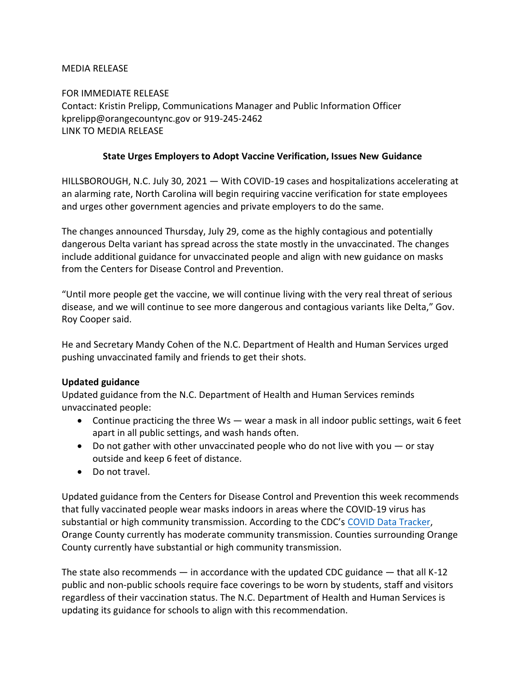#### MEDIA RELEASE

FOR IMMEDIATE RELEASE Contact: Kristin Prelipp, Communications Manager and Public Information Officer kprelipp@orangecountync.gov or 919-245-2462 [LINK TO MEDIA RELEASE](https://www.orangecountync.gov/DocumentCenter/View/16675/State-Urges-Vaccine-Verification-Issues-New-Guidance-FINAL)

#### **State Urges Employers to Adopt Vaccine Verification, Issues New Guidance**

HILLSBOROUGH, N.C. July 30, 2021 ― With COVID-19 cases and hospitalizations accelerating at an alarming rate, North Carolina will begin requiring vaccine verification for state employees and urges other government agencies and private employers to do the same.

The changes announced Thursday, July 29, come as the highly contagious and potentially dangerous Delta variant has spread across the state mostly in the unvaccinated. The changes include additional guidance for unvaccinated people and align with new guidance on masks from the Centers for Disease Control and Prevention.

"Until more people get the vaccine, we will continue living with the very real threat of serious disease, and we will continue to see more dangerous and contagious variants like Delta," Gov. Roy Cooper said.

He and Secretary Mandy Cohen of the N.C. Department of Health and Human Services urged pushing unvaccinated family and friends to get their shots.

# **Updated guidance**

Updated guidance from the N.C. Department of Health and Human Services reminds unvaccinated people:

- Continue practicing the three  $Ws$  wear a mask in all indoor public settings, wait 6 feet apart in all public settings, and wash hands often.
- Do not gather with other unvaccinated people who do not live with you  $-$  or stay outside and keep 6 feet of distance.
- Do not travel.

Updated guidance from the Centers for Disease Control and Prevention this week recommends that fully vaccinated people wear masks indoors in areas where the COVID-19 virus has substantial or high community transmission. According to the CDC's [COVID Data Tracker,](https://covid.cdc.gov/covid-data-tracker/#county-view) Orange County currently has moderate community transmission. Counties surrounding Orange County currently have substantial or high community transmission.

The state also recommends — in accordance with the updated CDC guidance — that all K-12 public and non-public schools require face coverings to be worn by students, staff and visitors regardless of their vaccination status. The N.C. Department of Health and Human Services is updating its guidance for schools to align with this recommendation.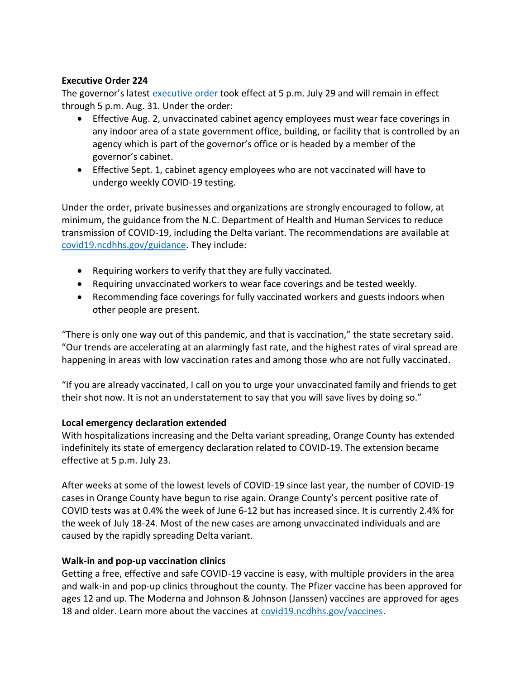#### **Executive Order 224**

The governor's latest [executive order](https://files.nc.gov/governor/documents/files/EO224-COVID-19-Measures.pdf) took effect at 5 p.m. July 29 and will remain in effect through 5 p.m. Aug. 31. Under the order:

- Effective Aug. 2, unvaccinated cabinet agency employees must wear face coverings in any indoor area of a state government office, building, or facility that is controlled by an agency which is part of the governor's office or is headed by a member of the governor's cabinet.
- Effective Sept. 1, cabinet agency employees who are not vaccinated will have to undergo weekly COVID-19 testing.

Under the order, private businesses and organizations are strongly encouraged to follow, at minimum, the guidance from the N.C. Department of Health and Human Services to reduce transmission of COVID-19, including the Delta variant. The recommendations are available at [covid19.ncdhhs.gov/guidance.](https://covid19.ncdhhs.gov/guidance) They include:

- Requiring workers to verify that they are fully vaccinated.
- Requiring unvaccinated workers to wear face coverings and be tested weekly.
- Recommending face coverings for fully vaccinated workers and guests indoors when other people are present.

"There is only one way out of this pandemic, and that is vaccination," the state secretary said. "Our trends are accelerating at an alarmingly fast rate, and the highest rates of viral spread are happening in areas with low vaccination rates and among those who are not fully vaccinated.

"If you are already vaccinated, I call on you to urge your unvaccinated family and friends to get their shot now. It is not an understatement to say that you will save lives by doing so."

# **Local emergency declaration extended**

With hospitalizations increasing and the Delta variant spreading, Orange County has extended indefinitely its state of emergency declaration related to COVID-19. The extension became effective at 5 p.m. July 23.

After weeks at some of the lowest levels of COVID-19 since last year, the number of COVID-19 cases in Orange County have begun to rise again. Orange County's percent positive rate of COVID tests was at 0.4% the week of June 6-12 but has increased since. It is currently 2.4% for the week of July 18-24. Most of the new cases are among unvaccinated individuals and are caused by the rapidly spreading Delta variant.

# **Walk-in and pop-up vaccination clinics**

Getting a free, effective and safe COVID-19 vaccine is easy, with multiple providers in the area and walk-in and pop-up clinics throughout the county. The Pfizer vaccine has been approved for ages 12 and up. The Moderna and Johnson & Johnson (Janssen) vaccines are approved for ages 18 and older. Learn more about the vaccines at [covid19.ncdhhs.gov/vaccines.](https://covid19.ncdhhs.gov/vaccines)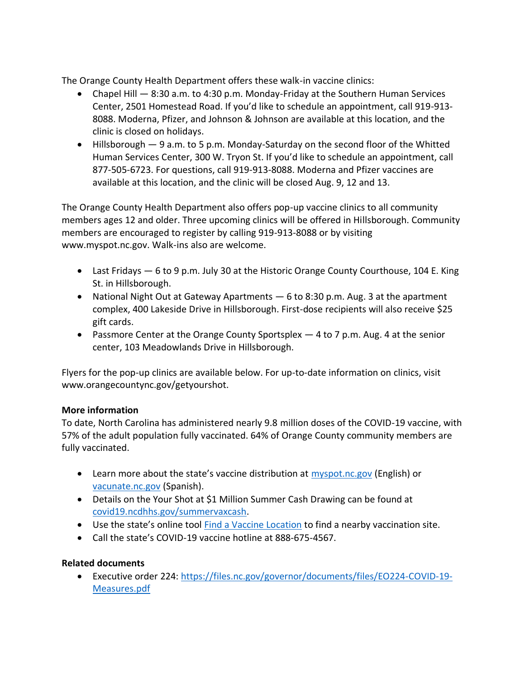The Orange County Health Department offers these walk-in vaccine clinics:

- Chapel Hill 8:30 a.m. to 4:30 p.m. Monday-Friday at the Southern Human Services Center, 2501 Homestead Road. If you'd like to schedule an appointment, call 919-913- 8088. Moderna, Pfizer, and Johnson & Johnson are available at this location, and the clinic is closed on holidays.
- Hillsborough 9 a.m. to 5 p.m. Monday-Saturday on the second floor of the Whitted Human Services Center, 300 W. Tryon St. If you'd like to schedule an appointment, call 877-505-6723. For questions, call 919-913-8088. Moderna and Pfizer vaccines are available at this location, and the clinic will be closed Aug. 9, 12 and 13.

The Orange County Health Department also offers pop-up vaccine clinics to all community members ages 12 and older. Three upcoming clinics will be offered in Hillsborough. Community members are encouraged to register by calling 919-913-8088 or by visiting www.myspot.nc.gov. Walk-ins also are welcome.

- Last Fridays 6 to 9 p.m. July 30 at the Historic Orange County Courthouse, 104 E. King St. in Hillsborough.
- National Night Out at Gateway Apartments ― 6 to 8:30 p.m. Aug. 3 at the apartment complex, 400 Lakeside Drive in Hillsborough. First-dose recipients will also receive \$25 gift cards.
- Passmore Center at the Orange County Sportsplex 4 to 7 p.m. Aug. 4 at the senior center, 103 Meadowlands Drive in Hillsborough.

Flyers for the pop-up clinics are available below. For up-to-date information on clinics, visit www.orangecountync.gov/getyourshot.

# **More information**

To date, North Carolina has administered nearly 9.8 million doses of the COVID-19 vaccine, with 57% of the adult population fully vaccinated. 64% of Orange County community members are fully vaccinated.

- Learn more about the state's vaccine distribution at **[myspot.nc.gov](https://covid19.ncdhhs.gov/vaccines)** (English) or [vacunate.nc.gov](https://covid19.ncdhhs.gov/vaccines/informacion-sobre-las-vacunas-contra-el-covid-19) (Spanish).
- Details on the Your Shot at \$1 Million Summer Cash Drawing can be found at [covid19.ncdhhs.gov/summervaxcash.](https://covid19.ncdhhs.gov/summervaxcash)
- Use the state's online tool [Find a Vaccine Location](https://covid19.ncdhhs.gov/vaccines) to find a nearby vaccination site.
- Call the state's COVID-19 vaccine hotline at 888-675-4567.

# **Related documents**

• Executive order 224: [https://files.nc.gov/governor/documents/files/EO224-COVID-19-](https://files.nc.gov/governor/documents/files/EO224-COVID-19-Measures.pdf) [Measures.pdf](https://files.nc.gov/governor/documents/files/EO224-COVID-19-Measures.pdf)